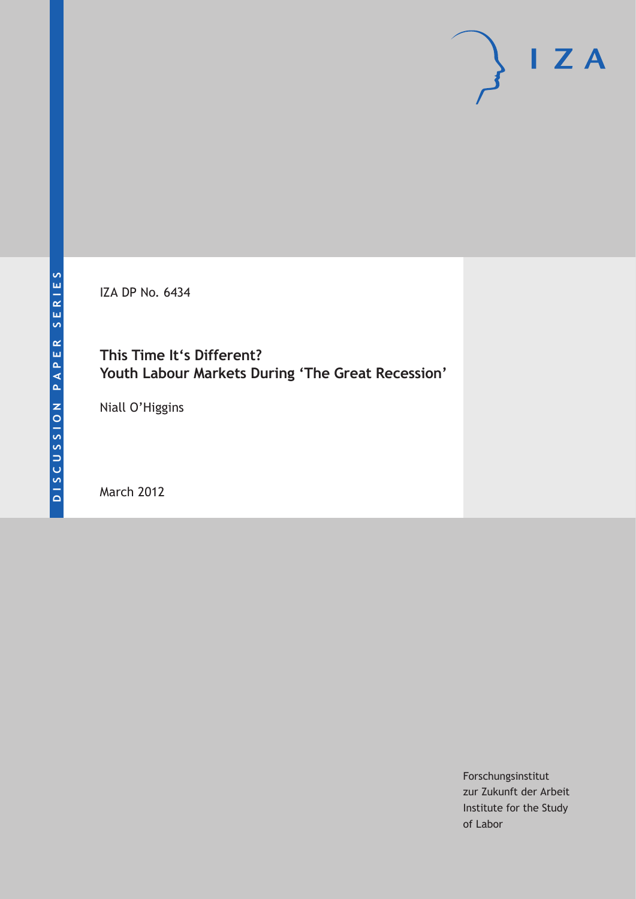

IZA DP No. 6434

### **This Time It's Different? Youth Labour Markets During 'The Great Recession'**

Niall O'Higgins

March 2012

Forschungsinstitut zur Zukunft der Arbeit Institute for the Study of Labor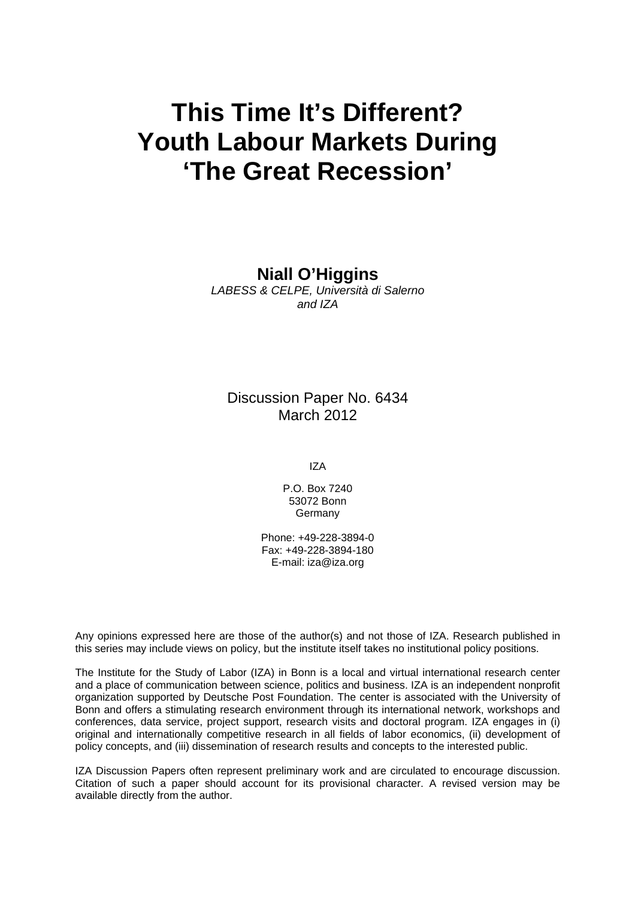# **This Time It's Different? Youth Labour Markets During 'The Great Recession'**

**Niall O'Higgins** 

*LABESS & CELPE, Università di Salerno and IZA* 

Discussion Paper No. 6434 March 2012

IZA

P.O. Box 7240 53072 Bonn **Germany** 

Phone: +49-228-3894-0 Fax: +49-228-3894-180 E-mail: [iza@iza.org](mailto:iza@iza.org)

Any opinions expressed here are those of the author(s) and not those of IZA. Research published in this series may include views on policy, but the institute itself takes no institutional policy positions.

The Institute for the Study of Labor (IZA) in Bonn is a local and virtual international research center and a place of communication between science, politics and business. IZA is an independent nonprofit organization supported by Deutsche Post Foundation. The center is associated with the University of Bonn and offers a stimulating research environment through its international network, workshops and conferences, data service, project support, research visits and doctoral program. IZA engages in (i) original and internationally competitive research in all fields of labor economics, (ii) development of policy concepts, and (iii) dissemination of research results and concepts to the interested public.

IZA Discussion Papers often represent preliminary work and are circulated to encourage discussion. Citation of such a paper should account for its provisional character. A revised version may be available directly from the author.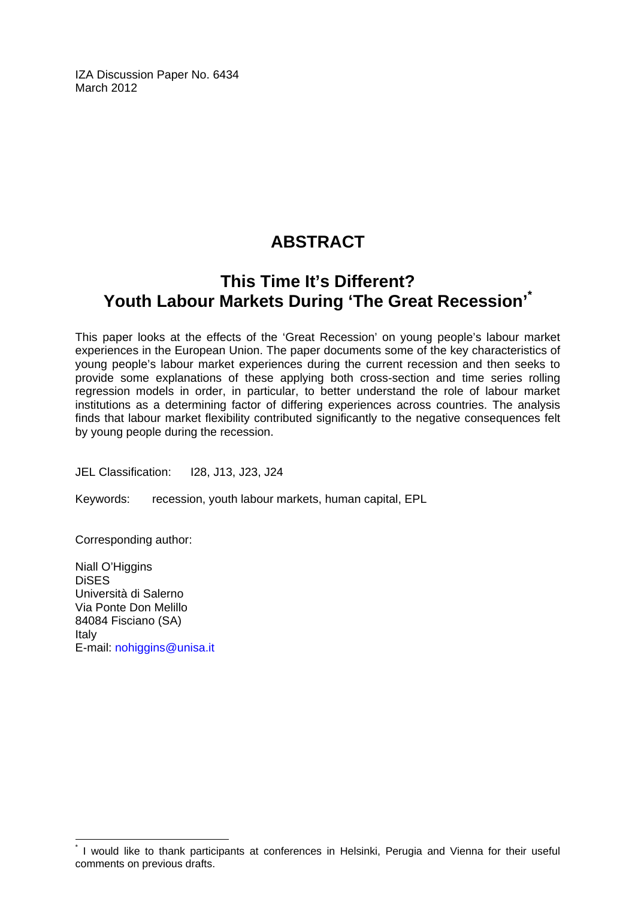IZA Discussion Paper No. 6434 March 2012

# **ABSTRACT**

## **This Time It's Different? Youth Labour Markets During 'The Great Recession['\\*](#page-2-0)**

This paper looks at the effects of the 'Great Recession' on young people's labour market experiences in the European Union. The paper documents some of the key characteristics of young people's labour market experiences during the current recession and then seeks to provide some explanations of these applying both cross-section and time series rolling regression models in order, in particular, to better understand the role of labour market institutions as a determining factor of differing experiences across countries. The analysis finds that labour market flexibility contributed significantly to the negative consequences felt by young people during the recession.

JEL Classification: I28, J13, J23, J24

Keywords: recession, youth labour markets, human capital, EPL

Corresponding author:

Niall O'Higgins DiSES Università di Salerno Via Ponte Don Melillo 84084 Fisciano (SA) Italy E-mail: [nohiggins@unisa.it](mailto:nohiggins@unisa.it)

 $\overline{a}$ 

<span id="page-2-0"></span><sup>\*</sup> I would like to thank participants at conferences in Helsinki, Perugia and Vienna for their useful comments on previous drafts.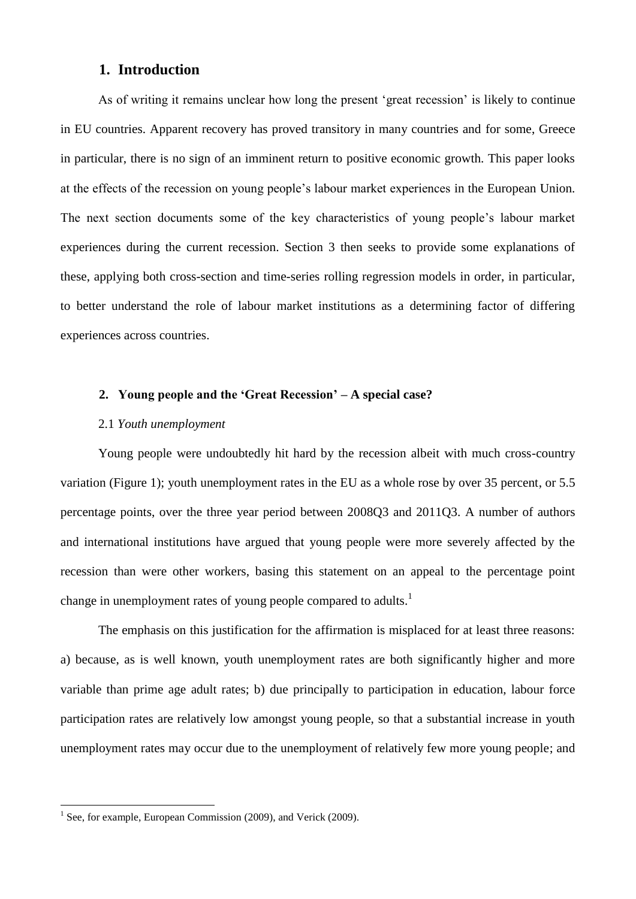### **1. Introduction**

As of writing it remains unclear how long the present 'great recession' is likely to continue in EU countries. Apparent recovery has proved transitory in many countries and for some, Greece in particular, there is no sign of an imminent return to positive economic growth. This paper looks at the effects of the recession on young people's labour market experiences in the European Union. The next section documents some of the key characteristics of young people's labour market experiences during the current recession. Section 3 then seeks to provide some explanations of these, applying both cross-section and time-series rolling regression models in order, in particular, to better understand the role of labour market institutions as a determining factor of differing experiences across countries.

### **2. Young people and the 'Great Recession' – A special case?**

#### 2.1 *Youth unemployment*

Young people were undoubtedly hit hard by the recession albeit with much cross-country variation (Figure 1); youth unemployment rates in the EU as a whole rose by over 35 percent, or 5.5 percentage points, over the three year period between 2008Q3 and 2011Q3. A number of authors and international institutions have argued that young people were more severely affected by the recession than were other workers, basing this statement on an appeal to the percentage point change in unemployment rates of young people compared to adults.<sup>1</sup>

The emphasis on this justification for the affirmation is misplaced for at least three reasons: a) because, as is well known, youth unemployment rates are both significantly higher and more variable than prime age adult rates; b) due principally to participation in education, labour force participation rates are relatively low amongst young people, so that a substantial increase in youth unemployment rates may occur due to the unemployment of relatively few more young people; and

<sup>&</sup>lt;sup>1</sup> See, for example, European Commission (2009), and Verick (2009).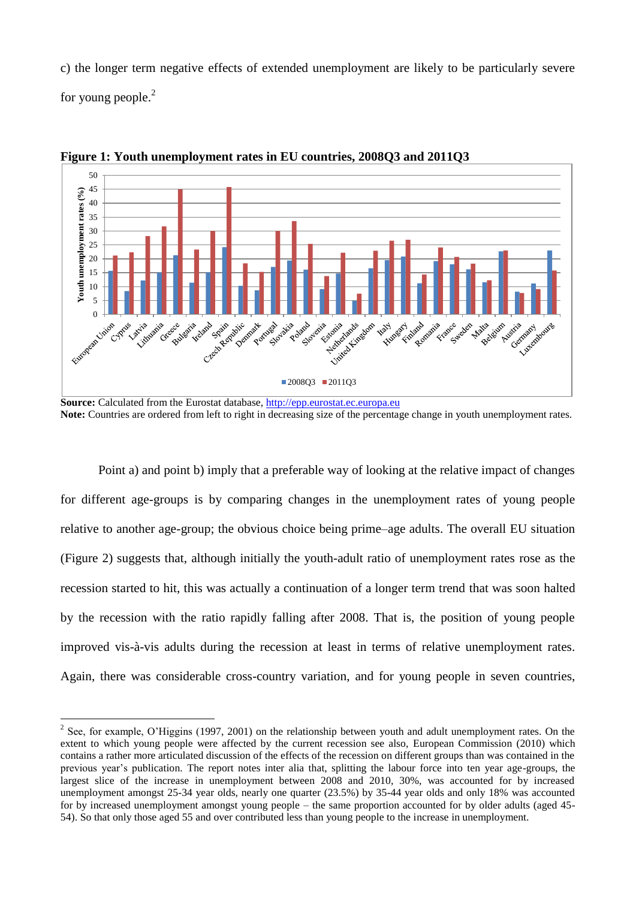c) the longer term negative effects of extended unemployment are likely to be particularly severe for young people. $^{2}$ 



**Figure 1: Youth unemployment rates in EU countries, 2008Q3 and 2011Q3**

**Source:** Calculated from the Eurostat database, [http://epp.eurostat.ec.europa.eu](http://epp.eurostat.ec.europa.eu/) **Note:** Countries are ordered from left to right in decreasing size of the percentage change in youth unemployment rates.

Point a) and point b) imply that a preferable way of looking at the relative impact of changes for different age-groups is by comparing changes in the unemployment rates of young people relative to another age-group; the obvious choice being prime–age adults. The overall EU situation (Figure 2) suggests that, although initially the youth-adult ratio of unemployment rates rose as the recession started to hit, this was actually a continuation of a longer term trend that was soon halted by the recession with the ratio rapidly falling after 2008. That is, the position of young people improved vis-à-vis adults during the recession at least in terms of relative unemployment rates. Again, there was considerable cross-country variation, and for young people in seven countries,

<u>.</u>

<sup>&</sup>lt;sup>2</sup> See, for example, O'Higgins (1997, 2001) on the relationship between youth and adult unemployment rates. On the extent to which young people were affected by the current recession see also, European Commission (2010) which contains a rather more articulated discussion of the effects of the recession on different groups than was contained in the previous year's publication. The report notes inter alia that, splitting the labour force into ten year age-groups, the largest slice of the increase in unemployment between 2008 and 2010, 30%, was accounted for by increased unemployment amongst 25-34 year olds, nearly one quarter (23.5%) by 35-44 year olds and only 18% was accounted for by increased unemployment amongst young people – the same proportion accounted for by older adults (aged 45- 54). So that only those aged 55 and over contributed less than young people to the increase in unemployment.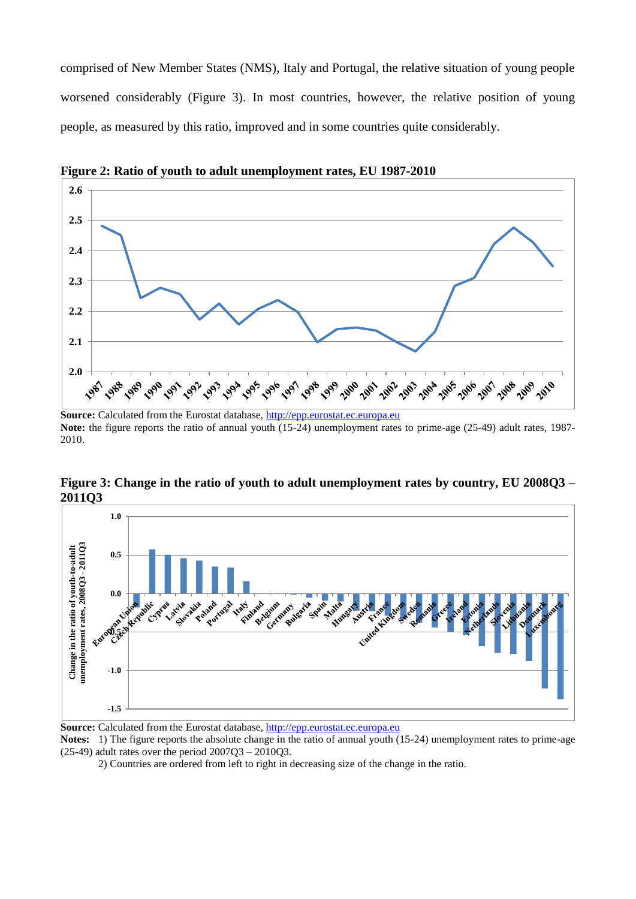comprised of New Member States (NMS), Italy and Portugal, the relative situation of young people worsened considerably (Figure 3). In most countries, however, the relative position of young people, as measured by this ratio, improved and in some countries quite considerably.



**Figure 2: Ratio of youth to adult unemployment rates, EU 1987-2010**

**Source:** Calculated from the Eurostat database, [http://epp.eurostat.ec.europa.eu](http://epp.eurostat.ec.europa.eu/) Note: the figure reports the ratio of annual youth (15-24) unemployment rates to prime-age (25-49) adult rates, 1987-2010.

**Figure 3: Change in the ratio of youth to adult unemployment rates by country, EU 2008Q3 – 2011Q3**



Source: Calculated from the Eurostat database, [http://epp.eurostat.ec.europa.eu](http://epp.eurostat.ec.europa.eu/)

**Notes:** 1) The figure reports the absolute change in the ratio of annual youth (15-24) unemployment rates to prime-age  $(25-49)$  adult rates over the period  $2007Q3 - 2010Q3$ .

2) Countries are ordered from left to right in decreasing size of the change in the ratio.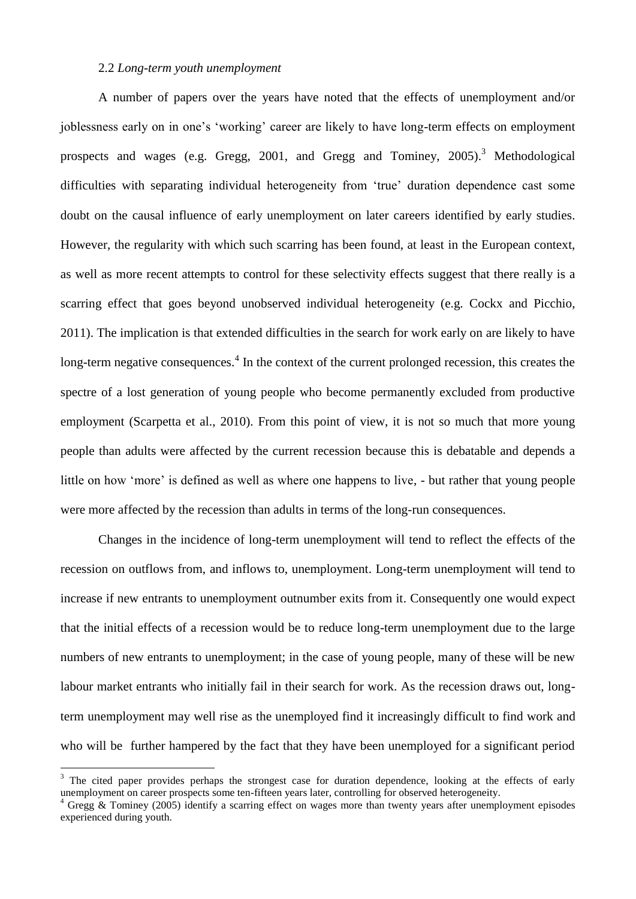#### 2.2 *Long-term youth unemployment*

A number of papers over the years have noted that the effects of unemployment and/or joblessness early on in one's 'working' career are likely to have long-term effects on employment prospects and wages (e.g. Gregg, 2001, and Gregg and Tominey, 2005).<sup>3</sup> Methodological difficulties with separating individual heterogeneity from 'true' duration dependence cast some doubt on the causal influence of early unemployment on later careers identified by early studies. However, the regularity with which such scarring has been found, at least in the European context, as well as more recent attempts to control for these selectivity effects suggest that there really is a scarring effect that goes beyond unobserved individual heterogeneity (e.g. Cockx and Picchio, 2011). The implication is that extended difficulties in the search for work early on are likely to have long-term negative consequences.<sup>4</sup> In the context of the current prolonged recession, this creates the spectre of a lost generation of young people who become permanently excluded from productive employment (Scarpetta et al., 2010). From this point of view, it is not so much that more young people than adults were affected by the current recession because this is debatable and depends a little on how 'more' is defined as well as where one happens to live, - but rather that young people were more affected by the recession than adults in terms of the long-run consequences.

Changes in the incidence of long-term unemployment will tend to reflect the effects of the recession on outflows from, and inflows to, unemployment. Long-term unemployment will tend to increase if new entrants to unemployment outnumber exits from it. Consequently one would expect that the initial effects of a recession would be to reduce long-term unemployment due to the large numbers of new entrants to unemployment; in the case of young people, many of these will be new labour market entrants who initially fail in their search for work. As the recession draws out, longterm unemployment may well rise as the unemployed find it increasingly difficult to find work and who will be further hampered by the fact that they have been unemployed for a significant period

 $3$  The cited paper provides perhaps the strongest case for duration dependence, looking at the effects of early unemployment on career prospects some ten-fifteen years later, controlling for observed heterogeneity.

Gregg & Tominey (2005) identify a scarring effect on wages more than twenty years after unemployment episodes experienced during youth.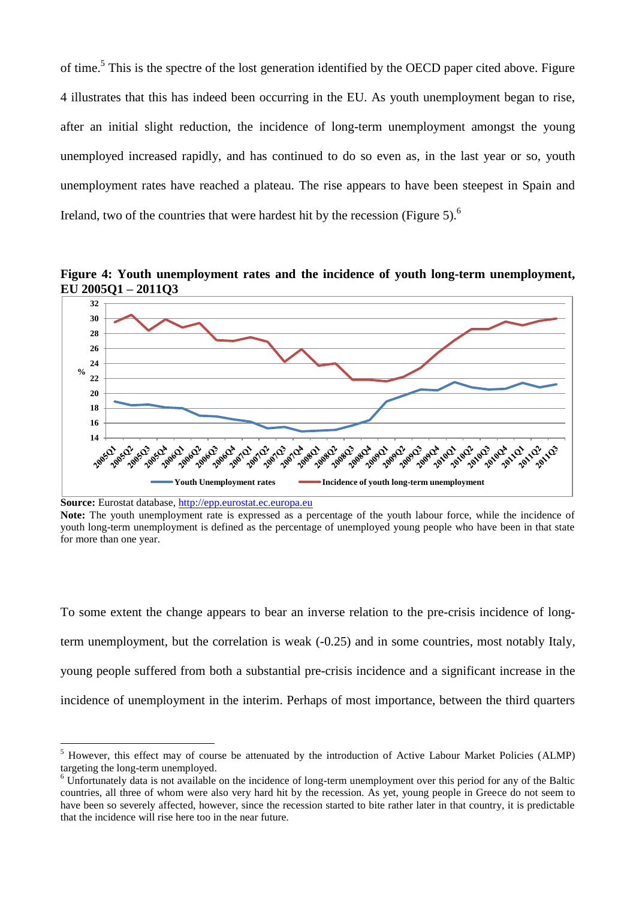of time.<sup>5</sup> This is the spectre of the lost generation identified by the OECD paper cited above. Figure 4 illustrates that this has indeed been occurring in the EU. As youth unemployment began to rise, after an initial slight reduction, the incidence of long-term unemployment amongst the young unemployed increased rapidly, and has continued to do so even as, in the last year or so, youth unemployment rates have reached a plateau. The rise appears to have been steepest in Spain and Ireland, two of the countries that were hardest hit by the recession (Figure 5). $<sup>6</sup>$ </sup>



**Figure 4: Youth unemployment rates and the incidence of youth long-term unemployment, EU 2005Q1 – 2011Q3**

**Source:** Eurostat database, [http://epp.eurostat.ec.europa.eu](http://epp.eurostat.ec.europa.eu/)

<u>.</u>

To some extent the change appears to bear an inverse relation to the pre-crisis incidence of longterm unemployment, but the correlation is weak (-0.25) and in some countries, most notably Italy, young people suffered from both a substantial pre-crisis incidence and a significant increase in the incidence of unemployment in the interim. Perhaps of most importance, between the third quarters

**Note:** The youth unemployment rate is expressed as a percentage of the youth labour force, while the incidence of youth long-term unemployment is defined as the percentage of unemployed young people who have been in that state for more than one year.

<sup>5</sup> However, this effect may of course be attenuated by the introduction of Active Labour Market Policies (ALMP) targeting the long-term unemployed.

<sup>6</sup> Unfortunately data is not available on the incidence of long-term unemployment over this period for any of the Baltic countries, all three of whom were also very hard hit by the recession. As yet, young people in Greece do not seem to have been so severely affected, however, since the recession started to bite rather later in that country, it is predictable that the incidence will rise here too in the near future.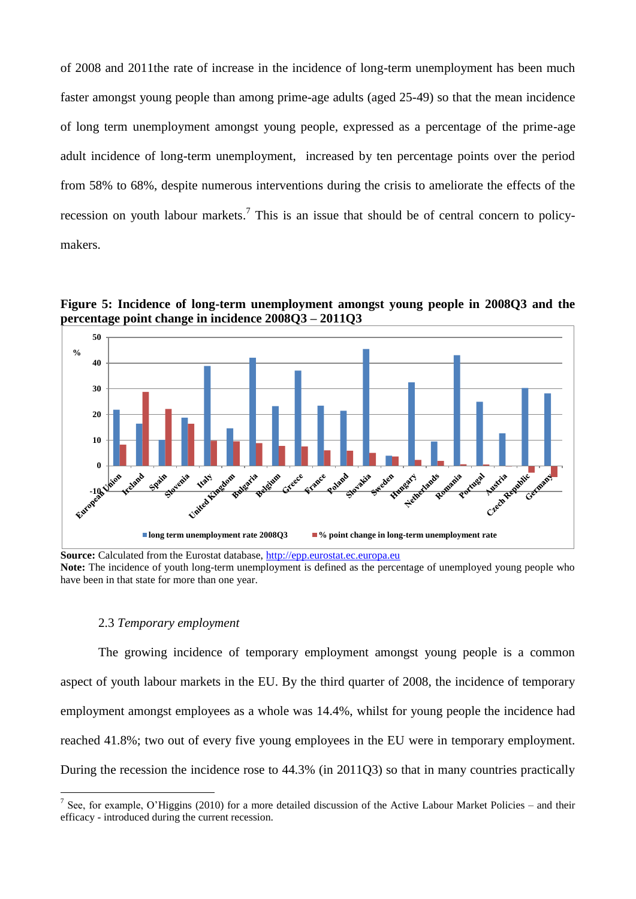of 2008 and 2011the rate of increase in the incidence of long-term unemployment has been much faster amongst young people than among prime-age adults (aged 25-49) so that the mean incidence of long term unemployment amongst young people, expressed as a percentage of the prime-age adult incidence of long-term unemployment, increased by ten percentage points over the period from 58% to 68%, despite numerous interventions during the crisis to ameliorate the effects of the recession on youth labour markets.<sup>7</sup> This is an issue that should be of central concern to policymakers.

**Figure 5: Incidence of long-term unemployment amongst young people in 2008Q3 and the percentage point change in incidence 2008Q3 – 2011Q3** 



**Source:** Calculated from the Eurostat database, [http://epp.eurostat.ec.europa.eu](http://epp.eurostat.ec.europa.eu/) **Note:** The incidence of youth long-term unemployment is defined as the percentage of unemployed young people who have been in that state for more than one year.

#### 2.3 *Temporary employment*

<u>.</u>

The growing incidence of temporary employment amongst young people is a common aspect of youth labour markets in the EU. By the third quarter of 2008, the incidence of temporary employment amongst employees as a whole was 14.4%, whilst for young people the incidence had reached 41.8%; two out of every five young employees in the EU were in temporary employment. During the recession the incidence rose to 44.3% (in 2011Q3) so that in many countries practically

<sup>&</sup>lt;sup>7</sup> See, for example, O'Higgins (2010) for a more detailed discussion of the Active Labour Market Policies – and their efficacy - introduced during the current recession.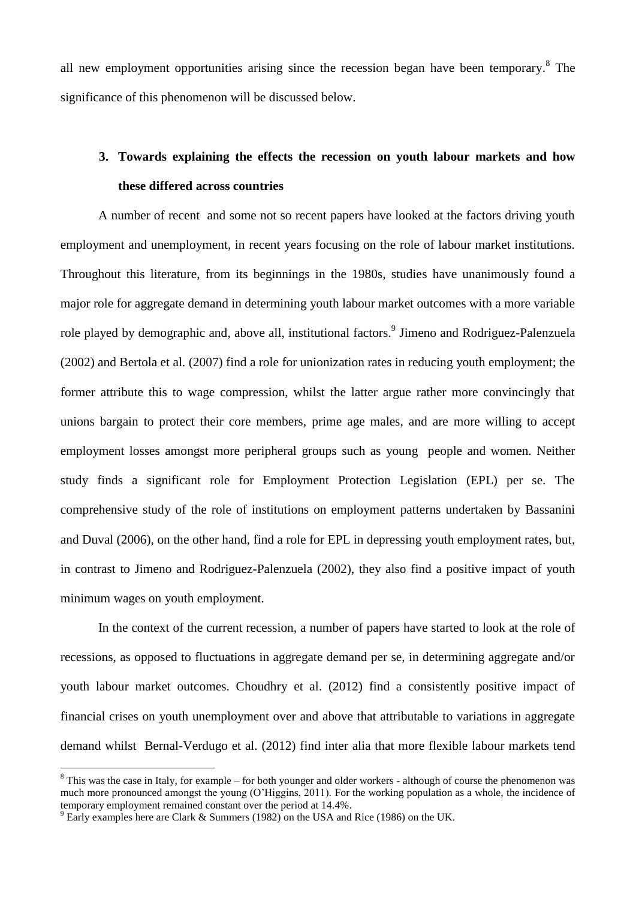all new employment opportunities arising since the recession began have been temporary.<sup>8</sup> The significance of this phenomenon will be discussed below.

# **3. Towards explaining the effects the recession on youth labour markets and how these differed across countries**

A number of recent and some not so recent papers have looked at the factors driving youth employment and unemployment, in recent years focusing on the role of labour market institutions. Throughout this literature, from its beginnings in the 1980s, studies have unanimously found a major role for aggregate demand in determining youth labour market outcomes with a more variable role played by demographic and, above all, institutional factors.<sup>9</sup> Jimeno and Rodriguez-Palenzuela (2002) and Bertola et al. (2007) find a role for unionization rates in reducing youth employment; the former attribute this to wage compression, whilst the latter argue rather more convincingly that unions bargain to protect their core members, prime age males, and are more willing to accept employment losses amongst more peripheral groups such as young people and women. Neither study finds a significant role for Employment Protection Legislation (EPL) per se. The comprehensive study of the role of institutions on employment patterns undertaken by Bassanini and Duval (2006), on the other hand, find a role for EPL in depressing youth employment rates, but, in contrast to Jimeno and Rodriguez-Palenzuela (2002), they also find a positive impact of youth minimum wages on youth employment.

In the context of the current recession, a number of papers have started to look at the role of recessions, as opposed to fluctuations in aggregate demand per se, in determining aggregate and/or youth labour market outcomes. Choudhry et al. (2012) find a consistently positive impact of financial crises on youth unemployment over and above that attributable to variations in aggregate demand whilst Bernal-Verdugo et al. (2012) find inter alia that more flexible labour markets tend

 $8$  This was the case in Italy, for example – for both younger and older workers - although of course the phenomenon was much more pronounced amongst the young (O'Higgins, 2011). For the working population as a whole, the incidence of temporary employment remained constant over the period at 14.4%.

 $9$  Early examples here are Clark & Summers (1982) on the USA and Rice (1986) on the UK.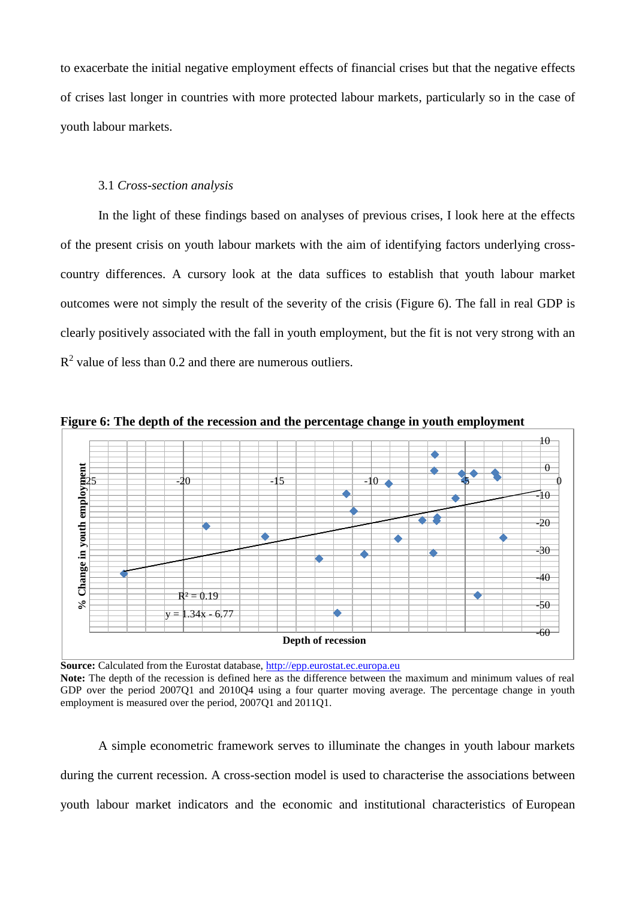to exacerbate the initial negative employment effects of financial crises but that the negative effects of crises last longer in countries with more protected labour markets, particularly so in the case of youth labour markets.

#### 3.1 *Cross-section analysis*

In the light of these findings based on analyses of previous crises, I look here at the effects of the present crisis on youth labour markets with the aim of identifying factors underlying crosscountry differences. A cursory look at the data suffices to establish that youth labour market outcomes were not simply the result of the severity of the crisis (Figure 6). The fall in real GDP is clearly positively associated with the fall in youth employment, but the fit is not very strong with an  $R<sup>2</sup>$  value of less than 0.2 and there are numerous outliers.



**Figure 6: The depth of the recession and the percentage change in youth employment** 

**Note:** The depth of the recession is defined here as the difference between the maximum and minimum values of real GDP over the period 2007Q1 and 2010Q4 using a four quarter moving average. The percentage change in youth employment is measured over the period, 2007Q1 and 2011Q1.

A simple econometric framework serves to illuminate the changes in youth labour markets during the current recession. A cross-section model is used to characterise the associations between youth labour market indicators and the economic and institutional characteristics of European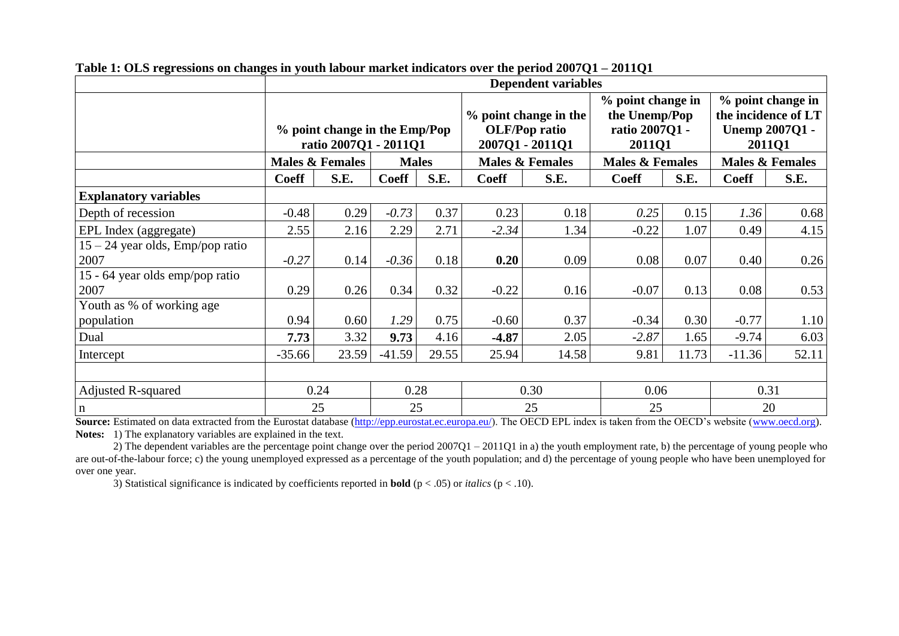|                                            | <b>Dependent variables</b>                             |       |              |                                                                  |                            |                                                                       |                            |                                                                             |                            |       |
|--------------------------------------------|--------------------------------------------------------|-------|--------------|------------------------------------------------------------------|----------------------------|-----------------------------------------------------------------------|----------------------------|-----------------------------------------------------------------------------|----------------------------|-------|
|                                            | % point change in the Emp/Pop<br>ratio 2007Q1 - 2011Q1 |       |              | % point change in the<br><b>OLF/Pop ratio</b><br>2007Q1 - 2011Q1 |                            | % point change in<br>the Unemp/Pop<br>ratio 2007Q1 -<br><b>2011Q1</b> |                            | % point change in<br>the incidence of LT<br><b>Unemp 2007Q1 -</b><br>2011Q1 |                            |       |
|                                            | <b>Males &amp; Females</b>                             |       | <b>Males</b> |                                                                  | <b>Males &amp; Females</b> |                                                                       | <b>Males &amp; Females</b> |                                                                             | <b>Males &amp; Females</b> |       |
|                                            | <b>Coeff</b>                                           | S.E.  | <b>Coeff</b> | S.E.                                                             | <b>Coeff</b>               | S.E.                                                                  | <b>Coeff</b>               | S.E.                                                                        | <b>Coeff</b>               | S.E.  |
| <b>Explanatory variables</b>               |                                                        |       |              |                                                                  |                            |                                                                       |                            |                                                                             |                            |       |
| Depth of recession                         | $-0.48$                                                | 0.29  | $-0.73$      | 0.37                                                             | 0.23                       | 0.18                                                                  | 0.25                       | 0.15                                                                        | 1.36                       | 0.68  |
| EPL Index (aggregate)                      | 2.55                                                   | 2.16  | 2.29         | 2.71                                                             | $-2.34$                    | 1.34                                                                  | $-0.22$                    | 1.07                                                                        | 0.49                       | 4.15  |
| $15 - 24$ year olds, Emp/pop ratio<br>2007 | $-0.27$                                                | 0.14  | $-0.36$      | 0.18                                                             | 0.20                       | 0.09                                                                  | 0.08                       | 0.07                                                                        | 0.40                       | 0.26  |
| 15 - 64 year olds emp/pop ratio<br>2007    | 0.29                                                   | 0.26  | 0.34         | 0.32                                                             | $-0.22$                    | 0.16                                                                  | $-0.07$                    | 0.13                                                                        | 0.08                       | 0.53  |
| Youth as % of working age                  |                                                        |       |              |                                                                  |                            |                                                                       |                            |                                                                             |                            |       |
| population                                 | 0.94                                                   | 0.60  | 1.29         | 0.75                                                             | $-0.60$                    | 0.37                                                                  | $-0.34$                    | 0.30                                                                        | $-0.77$                    | 1.10  |
| Dual                                       | 7.73                                                   | 3.32  | 9.73         | 4.16                                                             | $-4.87$                    | 2.05                                                                  | $-2.87$                    | 1.65                                                                        | $-9.74$                    | 6.03  |
| Intercept                                  | $-35.66$                                               | 23.59 | $-41.59$     | 29.55                                                            | 25.94                      | 14.58                                                                 | 9.81                       | 11.73                                                                       | $-11.36$                   | 52.11 |
|                                            |                                                        |       |              |                                                                  |                            |                                                                       |                            |                                                                             |                            |       |
| <b>Adjusted R-squared</b>                  |                                                        | 0.24  | 0.28         |                                                                  |                            | 0.30                                                                  | 0.06                       |                                                                             |                            | 0.31  |
| $\mathbf n$                                |                                                        | 25    | 25           |                                                                  |                            | 25                                                                    | 25                         |                                                                             |                            | 20    |

| Table 1: OLS regressions on changes in youth labour market indicators over the period 2007Q1 - 2011Q1 |  |  |  |
|-------------------------------------------------------------------------------------------------------|--|--|--|
|                                                                                                       |  |  |  |

**Source:** Estimated on data extracted from the Eurostat database [\(http://epp.eurostat.ec.europa.eu/\)](http://epp.eurostat.ec.europa.eu/). The OECD EPL index is taken from the OECD's website [\(www.oecd.org\)](http://www.oecd.org/). **Notes:** 1) The explanatory variables are explained in the text.

2) The dependent variables are the percentage point change over the period 2007Q1 – 2011Q1 in a) the youth employment rate, b) the percentage of young people who are out-of-the-labour force; c) the young unemployed expressed as a percentage of the youth population; and d) the percentage of young people who have been unemployed for over one year.

3) Statistical significance is indicated by coefficients reported in **bold** (p < .05) or *italics* (p < .10).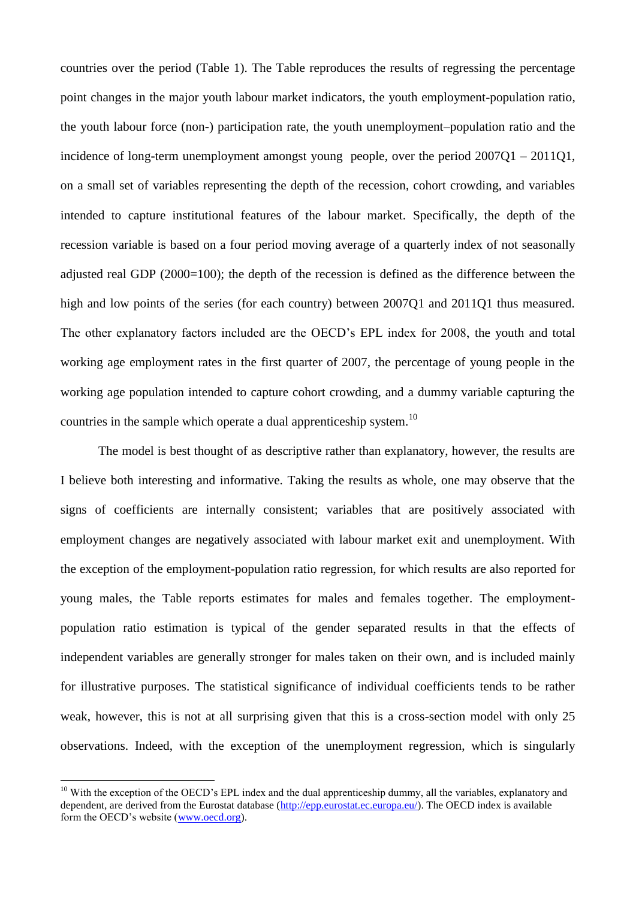countries over the period (Table 1). The Table reproduces the results of regressing the percentage point changes in the major youth labour market indicators, the youth employment-population ratio, the youth labour force (non-) participation rate, the youth unemployment–population ratio and the incidence of long-term unemployment amongst young people, over the period 2007Q1 – 2011Q1, on a small set of variables representing the depth of the recession, cohort crowding, and variables intended to capture institutional features of the labour market. Specifically, the depth of the recession variable is based on a four period moving average of a quarterly index of not seasonally adjusted real GDP (2000=100); the depth of the recession is defined as the difference between the high and low points of the series (for each country) between 2007Q1 and 2011Q1 thus measured. The other explanatory factors included are the OECD's EPL index for 2008, the youth and total working age employment rates in the first quarter of 2007, the percentage of young people in the working age population intended to capture cohort crowding, and a dummy variable capturing the countries in the sample which operate a dual apprenticeship system.<sup>10</sup>

The model is best thought of as descriptive rather than explanatory, however, the results are I believe both interesting and informative. Taking the results as whole, one may observe that the signs of coefficients are internally consistent; variables that are positively associated with employment changes are negatively associated with labour market exit and unemployment. With the exception of the employment-population ratio regression, for which results are also reported for young males, the Table reports estimates for males and females together. The employmentpopulation ratio estimation is typical of the gender separated results in that the effects of independent variables are generally stronger for males taken on their own, and is included mainly for illustrative purposes. The statistical significance of individual coefficients tends to be rather weak, however, this is not at all surprising given that this is a cross-section model with only 25 observations. Indeed, with the exception of the unemployment regression, which is singularly

 $10$  With the exception of the OECD's EPL index and the dual apprenticeship dummy, all the variables, explanatory and dependent, are derived from the Eurostat database [\(http://epp.eurostat.ec.europa.eu/\)](http://epp.eurostat.ec.europa.eu/). The OECD index is available form the OECD's website [\(www.oecd.org\)](http://www.oecd.org/).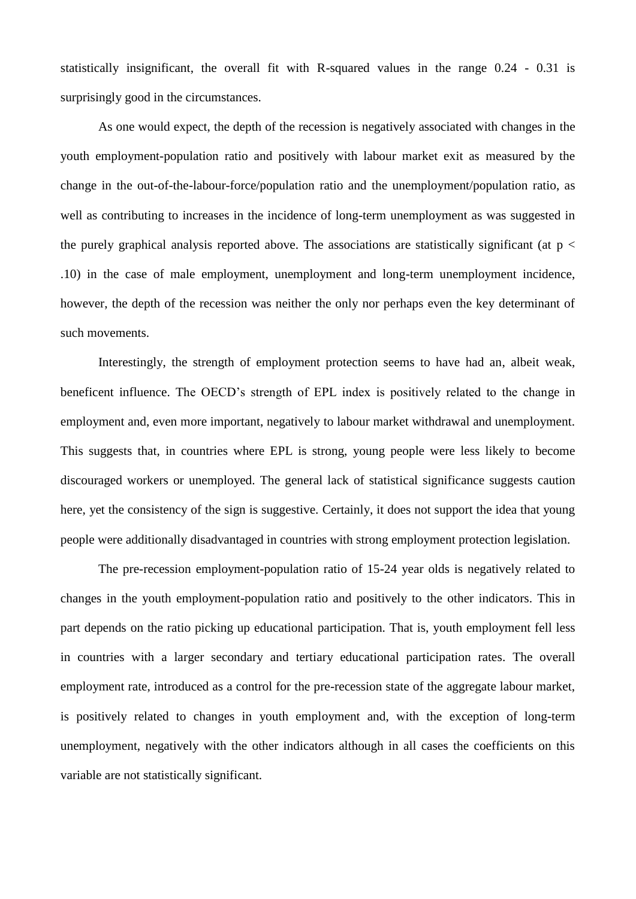statistically insignificant, the overall fit with R-squared values in the range 0.24 - 0.31 is surprisingly good in the circumstances.

As one would expect, the depth of the recession is negatively associated with changes in the youth employment-population ratio and positively with labour market exit as measured by the change in the out-of-the-labour-force/population ratio and the unemployment/population ratio, as well as contributing to increases in the incidence of long-term unemployment as was suggested in the purely graphical analysis reported above. The associations are statistically significant (at  $p <$ .10) in the case of male employment, unemployment and long-term unemployment incidence, however, the depth of the recession was neither the only nor perhaps even the key determinant of such movements.

Interestingly, the strength of employment protection seems to have had an, albeit weak, beneficent influence. The OECD's strength of EPL index is positively related to the change in employment and, even more important, negatively to labour market withdrawal and unemployment. This suggests that, in countries where EPL is strong, young people were less likely to become discouraged workers or unemployed. The general lack of statistical significance suggests caution here, yet the consistency of the sign is suggestive. Certainly, it does not support the idea that young people were additionally disadvantaged in countries with strong employment protection legislation.

The pre-recession employment-population ratio of 15-24 year olds is negatively related to changes in the youth employment-population ratio and positively to the other indicators. This in part depends on the ratio picking up educational participation. That is, youth employment fell less in countries with a larger secondary and tertiary educational participation rates. The overall employment rate, introduced as a control for the pre-recession state of the aggregate labour market, is positively related to changes in youth employment and, with the exception of long-term unemployment, negatively with the other indicators although in all cases the coefficients on this variable are not statistically significant.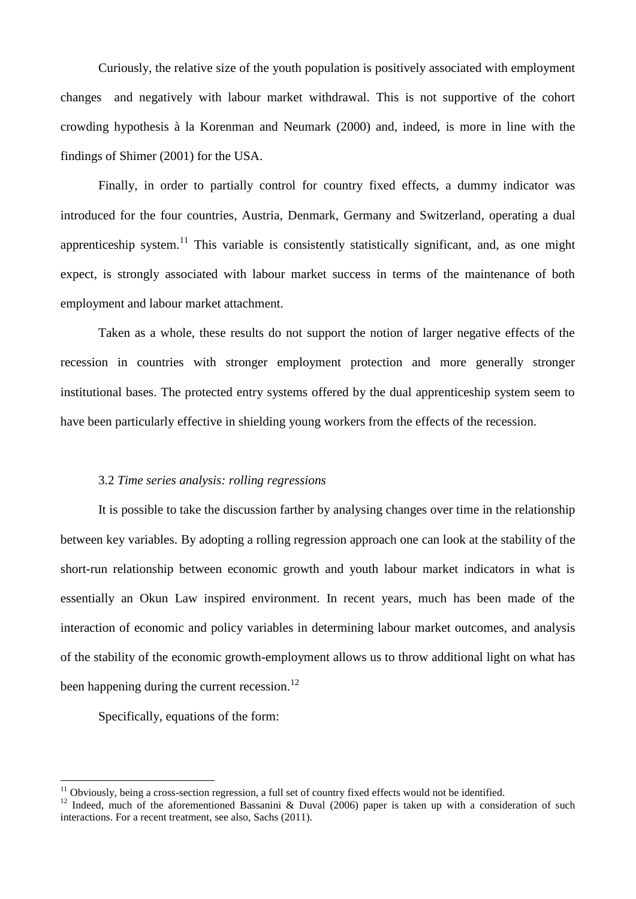Curiously, the relative size of the youth population is positively associated with employment changes and negatively with labour market withdrawal. This is not supportive of the cohort crowding hypothesis à la Korenman and Neumark (2000) and, indeed, is more in line with the findings of Shimer (2001) for the USA.

Finally, in order to partially control for country fixed effects, a dummy indicator was introduced for the four countries, Austria, Denmark, Germany and Switzerland, operating a dual apprenticeship system.<sup>11</sup> This variable is consistently statistically significant, and, as one might expect, is strongly associated with labour market success in terms of the maintenance of both employment and labour market attachment.

Taken as a whole, these results do not support the notion of larger negative effects of the recession in countries with stronger employment protection and more generally stronger institutional bases. The protected entry systems offered by the dual apprenticeship system seem to have been particularly effective in shielding young workers from the effects of the recession.

#### 3.2 *Time series analysis: rolling regressions*

It is possible to take the discussion farther by analysing changes over time in the relationship between key variables. By adopting a rolling regression approach one can look at the stability of the short-run relationship between economic growth and youth labour market indicators in what is essentially an Okun Law inspired environment. In recent years, much has been made of the interaction of economic and policy variables in determining labour market outcomes, and analysis of the stability of the economic growth-employment allows us to throw additional light on what has been happening during the current recession. $^{12}$ 

Specifically, equations of the form:

 $11$  Obviously, being a cross-section regression, a full set of country fixed effects would not be identified.

<sup>&</sup>lt;sup>12</sup> Indeed, much of the aforementioned Bassanini & Duval (2006) paper is taken up with a consideration of such interactions. For a recent treatment, see also, Sachs (2011).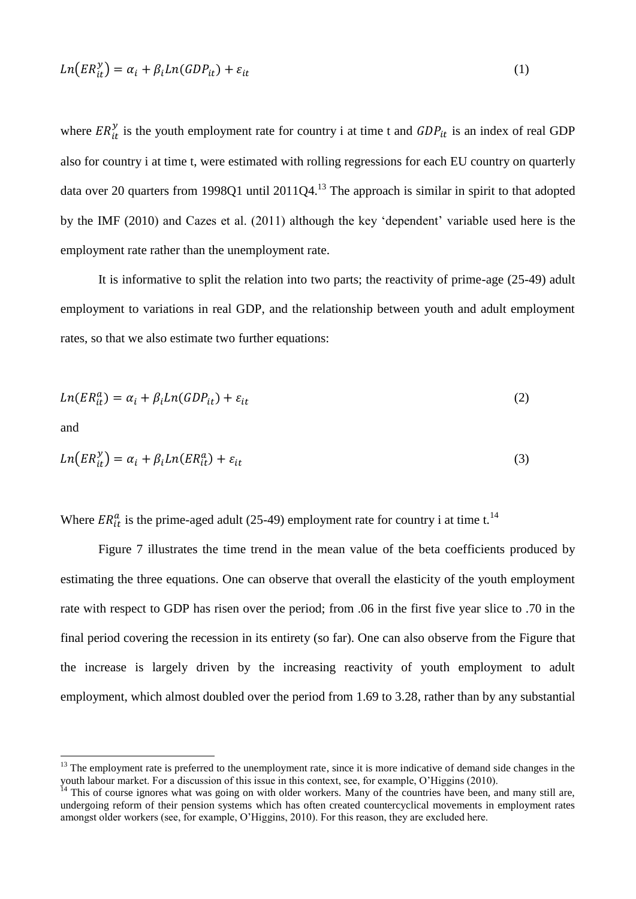$$
Ln(ER_{it}^{y}) = \alpha_i + \beta_i Ln(GDP_{it}) + \varepsilon_{it}
$$
\n(1)

where  $ER_{it}^y$  is the youth employment rate for country i at time t and  $GDP_{it}$  is an index of real GDP also for country i at time t, were estimated with rolling regressions for each EU country on quarterly data over 20 quarters from 1998Q1 until  $2011Q4<sup>13</sup>$ . The approach is similar in spirit to that adopted by the IMF (2010) and Cazes et al. (2011) although the key 'dependent' variable used here is the employment rate rather than the unemployment rate.

It is informative to split the relation into two parts; the reactivity of prime-age (25-49) adult employment to variations in real GDP, and the relationship between youth and adult employment rates, so that we also estimate two further equations:

$$
Ln(ER_{it}^a) = \alpha_i + \beta_i Ln(GDP_{it}) + \varepsilon_{it}
$$
\n<sup>(2)</sup>

and

<u>.</u>

$$
Ln(ER_{it}^{y}) = \alpha_i + \beta_i Ln(ER_{it}^{a}) + \varepsilon_{it}
$$
\n(3)

Where  $ER_{it}^a$  is the prime-aged adult (25-49) employment rate for country i at time t.<sup>14</sup>

Figure 7 illustrates the time trend in the mean value of the beta coefficients produced by estimating the three equations. One can observe that overall the elasticity of the youth employment rate with respect to GDP has risen over the period; from .06 in the first five year slice to .70 in the final period covering the recession in its entirety (so far). One can also observe from the Figure that the increase is largely driven by the increasing reactivity of youth employment to adult employment, which almost doubled over the period from 1.69 to 3.28, rather than by any substantial

 $13$  The employment rate is preferred to the unemployment rate, since it is more indicative of demand side changes in the youth labour market. For a discussion of this issue in this context, see, for example, O'Higgins (2010).

<sup>&</sup>lt;sup>14</sup> This of course ignores what was going on with older workers. Many of the countries have been, and many still are, undergoing reform of their pension systems which has often created countercyclical movements in employment rates amongst older workers (see, for example, O'Higgins, 2010). For this reason, they are excluded here.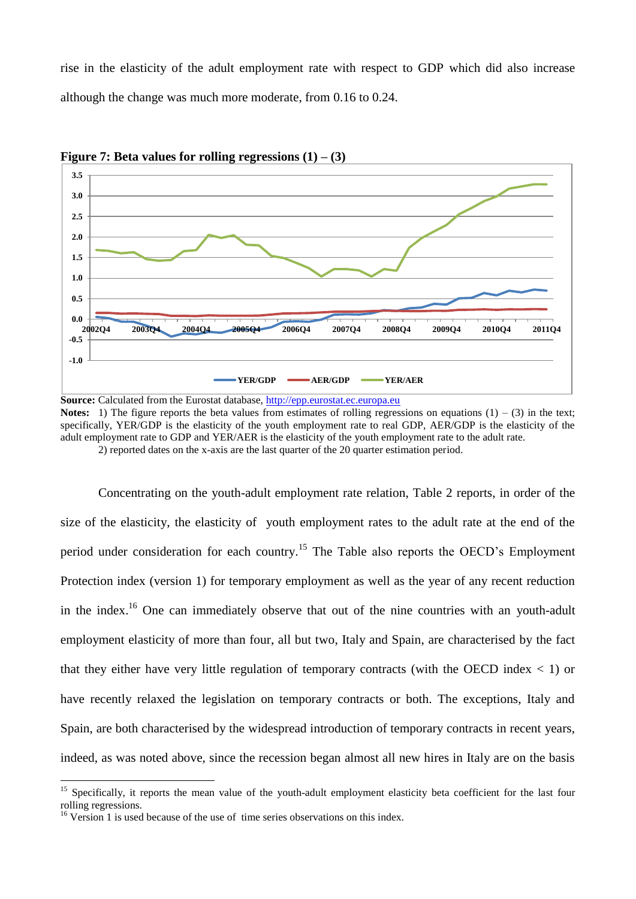rise in the elasticity of the adult employment rate with respect to GDP which did also increase although the change was much more moderate, from 0.16 to 0.24.



**Figure 7: Beta values for rolling regressions**  $(1) - (3)$ 

Source: Calculated from the Eurostat database, [http://epp.eurostat.ec.europa.eu](http://epp.eurostat.ec.europa.eu/) **Notes:** 1) The figure reports the beta values from estimates of rolling regressions on equations  $(1) - (3)$  in the text; specifically, YER/GDP is the elasticity of the youth employment rate to real GDP, AER/GDP is the elasticity of the adult employment rate to GDP and YER/AER is the elasticity of the youth employment rate to the adult rate. 2) reported dates on the x-axis are the last quarter of the 20 quarter estimation period.

Concentrating on the youth-adult employment rate relation, Table 2 reports, in order of the size of the elasticity, the elasticity of youth employment rates to the adult rate at the end of the period under consideration for each country.<sup>15</sup> The Table also reports the OECD's Employment Protection index (version 1) for temporary employment as well as the year of any recent reduction in the index.<sup>16</sup> One can immediately observe that out of the nine countries with an youth-adult employment elasticity of more than four, all but two, Italy and Spain, are characterised by the fact that they either have very little regulation of temporary contracts (with the OECD index  $\langle 1 \rangle$  or have recently relaxed the legislation on temporary contracts or both. The exceptions, Italy and Spain, are both characterised by the widespread introduction of temporary contracts in recent years, indeed, as was noted above, since the recession began almost all new hires in Italy are on the basis

<sup>&</sup>lt;sup>15</sup> Specifically, it reports the mean value of the youth-adult employment elasticity beta coefficient for the last four rolling regressions.

<sup>&</sup>lt;sup>16</sup> Version 1 is used because of the use of time series observations on this index.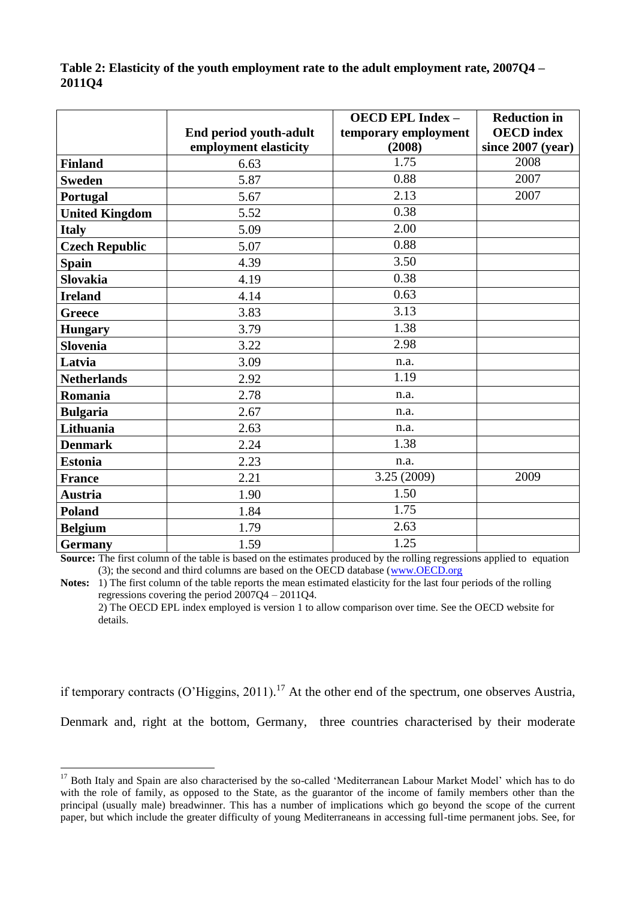|               | Table 2: Elasticity of the youth employment rate to the adult employment rate, 2007Q4 – |  |
|---------------|-----------------------------------------------------------------------------------------|--|
| <b>2011Q4</b> |                                                                                         |  |

|                       | End period youth-adult | <b>OECD EPL Index-</b><br>temporary employment | <b>Reduction in</b><br><b>OECD</b> index |
|-----------------------|------------------------|------------------------------------------------|------------------------------------------|
|                       | employment elasticity  | (2008)<br>1.75                                 | since 2007 (year)<br>2008                |
| <b>Finland</b>        | 6.63                   |                                                |                                          |
| <b>Sweden</b>         | 5.87                   | 0.88                                           | 2007                                     |
| Portugal              | 5.67                   | 2.13                                           | 2007                                     |
| <b>United Kingdom</b> | 5.52                   | 0.38                                           |                                          |
| <b>Italy</b>          | 5.09                   | 2.00                                           |                                          |
| <b>Czech Republic</b> | 5.07                   | 0.88                                           |                                          |
| <b>Spain</b>          | 4.39                   | 3.50                                           |                                          |
| <b>Slovakia</b>       | 4.19                   | 0.38                                           |                                          |
| <b>Ireland</b>        | 4.14                   | 0.63                                           |                                          |
| <b>Greece</b>         | 3.83                   | 3.13                                           |                                          |
| <b>Hungary</b>        | 3.79                   | 1.38                                           |                                          |
| <b>Slovenia</b>       | 3.22                   | 2.98                                           |                                          |
| Latvia                | 3.09                   | n.a.                                           |                                          |
| <b>Netherlands</b>    | 2.92                   | 1.19                                           |                                          |
| Romania               | 2.78                   | n.a.                                           |                                          |
| <b>Bulgaria</b>       | 2.67                   | n.a.                                           |                                          |
| Lithuania             | 2.63                   | n.a.                                           |                                          |
| <b>Denmark</b>        | 2.24                   | 1.38                                           |                                          |
| <b>Estonia</b>        | 2.23                   | n.a.                                           |                                          |
| <b>France</b>         | 2.21                   | 3.25 (2009)                                    | 2009                                     |
| <b>Austria</b>        | 1.90                   | 1.50                                           |                                          |
| <b>Poland</b>         | 1.84                   | 1.75                                           |                                          |
| <b>Belgium</b>        | 1.79                   | 2.63                                           |                                          |
| <b>Germany</b>        | 1.59                   | 1.25                                           |                                          |

**Source:** The first column of the table is based on the estimates produced by the rolling regressions applied to equation (3); the second and third columns are based on the OECD database [\(www.OECD.org](http://www.oecd.org/)

**Notes:** 1) The first column of the table reports the mean estimated elasticity for the last four periods of the rolling regressions covering the period 2007Q4 – 2011Q4.

2) The OECD EPL index employed is version 1 to allow comparison over time. See the OECD website for details.

if temporary contracts  $(O'Higgsins, 2011).$ <sup>17</sup> At the other end of the spectrum, one observes Austria, Denmark and, right at the bottom, Germany, three countries characterised by their moderate

<sup>&</sup>lt;sup>17</sup> Both Italy and Spain are also characterised by the so-called 'Mediterranean Labour Market Model' which has to do with the role of family, as opposed to the State, as the guarantor of the income of family members other than the principal (usually male) breadwinner. This has a number of implications which go beyond the scope of the current paper, but which include the greater difficulty of young Mediterraneans in accessing full-time permanent jobs. See, for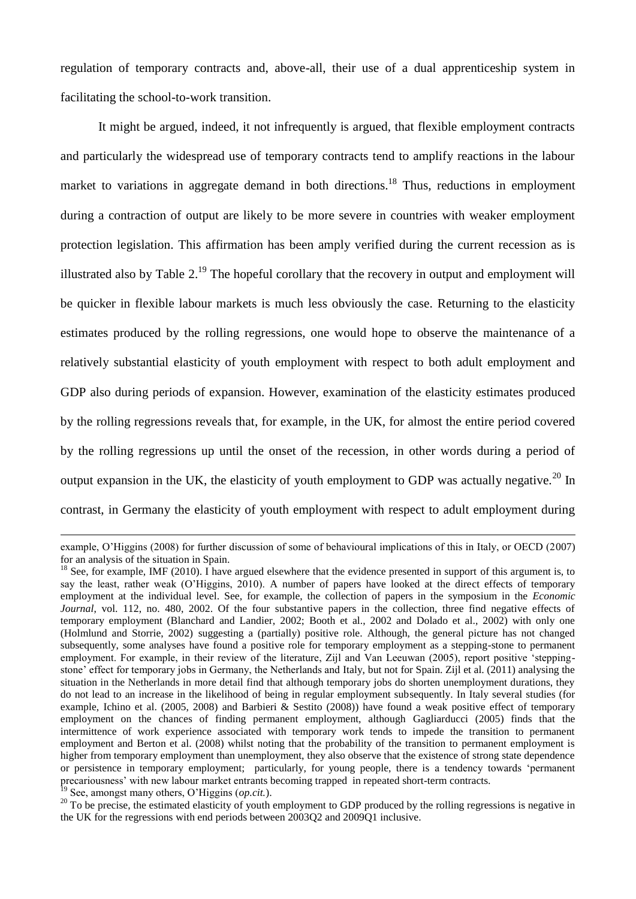regulation of temporary contracts and, above-all, their use of a dual apprenticeship system in facilitating the school-to-work transition.

It might be argued, indeed, it not infrequently is argued, that flexible employment contracts and particularly the widespread use of temporary contracts tend to amplify reactions in the labour market to variations in aggregate demand in both directions.<sup>18</sup> Thus, reductions in employment during a contraction of output are likely to be more severe in countries with weaker employment protection legislation. This affirmation has been amply verified during the current recession as is illustrated also by Table  $2<sup>19</sup>$ . The hopeful corollary that the recovery in output and employment will be quicker in flexible labour markets is much less obviously the case. Returning to the elasticity estimates produced by the rolling regressions, one would hope to observe the maintenance of a relatively substantial elasticity of youth employment with respect to both adult employment and GDP also during periods of expansion. However, examination of the elasticity estimates produced by the rolling regressions reveals that, for example, in the UK, for almost the entire period covered by the rolling regressions up until the onset of the recession, in other words during a period of output expansion in the UK, the elasticity of youth employment to GDP was actually negative.<sup>20</sup> In contrast, in Germany the elasticity of youth employment with respect to adult employment during

<sup>19</sup> See, amongst many others, O'Higgins (*op.cit.*).

example, O'Higgins (2008) for further discussion of some of behavioural implications of this in Italy, or OECD (2007) for an analysis of the situation in Spain.

 $18$  See, for example, IMF (2010). I have argued elsewhere that the evidence presented in support of this argument is, to say the least, rather weak (O'Higgins, 2010). A number of papers have looked at the direct effects of temporary employment at the individual level. See, for example, the collection of papers in the symposium in the *Economic Journal*, vol. 112, no. 480, 2002. Of the four substantive papers in the collection, three find negative effects of temporary employment (Blanchard and Landier, 2002; Booth et al., 2002 and Dolado et al., 2002) with only one (Holmlund and Storrie, 2002) suggesting a (partially) positive role. Although, the general picture has not changed subsequently, some analyses have found a positive role for temporary employment as a stepping-stone to permanent employment. For example, in their review of the literature, Zijl and Van Leeuwan (2005), report positive 'steppingstone' effect for temporary jobs in Germany, the Netherlands and Italy, but not for Spain. Zijl et al. (2011) analysing the situation in the Netherlands in more detail find that although temporary jobs do shorten unemployment durations, they do not lead to an increase in the likelihood of being in regular employment subsequently. In Italy several studies (for example, Ichino et al. (2005, 2008) and Barbieri & Sestito (2008)) have found a weak positive effect of temporary employment on the chances of finding permanent employment, although Gagliarducci (2005) finds that the intermittence of work experience associated with temporary work tends to impede the transition to permanent employment and Berton et al. (2008) whilst noting that the probability of the transition to permanent employment is higher from temporary employment than unemployment, they also observe that the existence of strong state dependence or persistence in temporary employment; particularly, for young people, there is a tendency towards 'permanent precariousness' with new labour market entrants becoming trapped in repeated short-term contracts.

<sup>&</sup>lt;sup>20</sup> To be precise, the estimated elasticity of youth employment to GDP produced by the rolling regressions is negative in the UK for the regressions with end periods between 2003Q2 and 2009Q1 inclusive.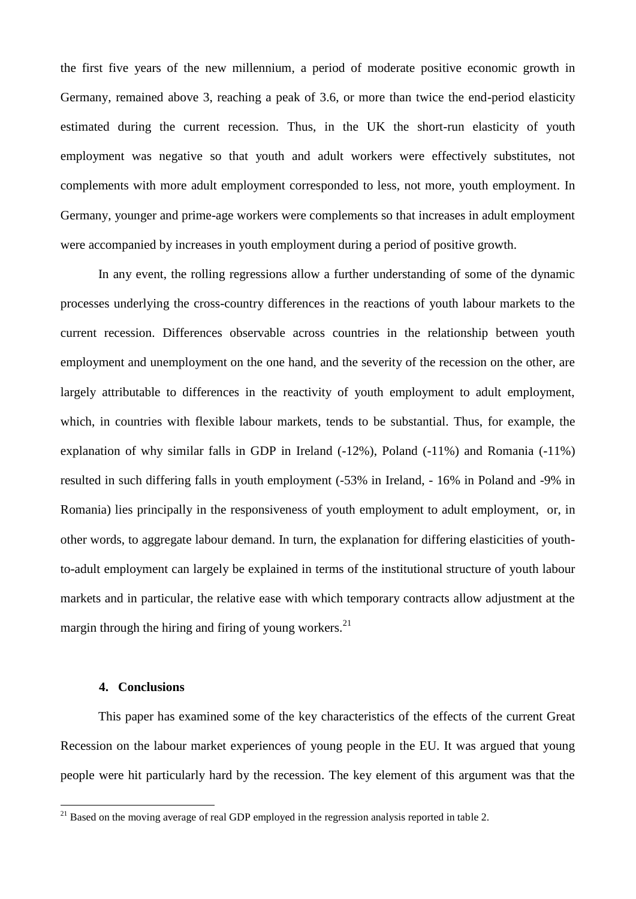the first five years of the new millennium, a period of moderate positive economic growth in Germany, remained above 3, reaching a peak of 3.6, or more than twice the end-period elasticity estimated during the current recession. Thus, in the UK the short-run elasticity of youth employment was negative so that youth and adult workers were effectively substitutes, not complements with more adult employment corresponded to less, not more, youth employment. In Germany, younger and prime-age workers were complements so that increases in adult employment were accompanied by increases in youth employment during a period of positive growth.

In any event, the rolling regressions allow a further understanding of some of the dynamic processes underlying the cross-country differences in the reactions of youth labour markets to the current recession. Differences observable across countries in the relationship between youth employment and unemployment on the one hand, and the severity of the recession on the other, are largely attributable to differences in the reactivity of youth employment to adult employment, which, in countries with flexible labour markets, tends to be substantial. Thus, for example, the explanation of why similar falls in GDP in Ireland (-12%), Poland (-11%) and Romania (-11%) resulted in such differing falls in youth employment (-53% in Ireland, - 16% in Poland and -9% in Romania) lies principally in the responsiveness of youth employment to adult employment, or, in other words, to aggregate labour demand. In turn, the explanation for differing elasticities of youthto-adult employment can largely be explained in terms of the institutional structure of youth labour markets and in particular, the relative ease with which temporary contracts allow adjustment at the margin through the hiring and firing of young workers. $^{21}$ 

#### **4. Conclusions**

1

This paper has examined some of the key characteristics of the effects of the current Great Recession on the labour market experiences of young people in the EU. It was argued that young people were hit particularly hard by the recession. The key element of this argument was that the

 $21$  Based on the moving average of real GDP employed in the regression analysis reported in table 2.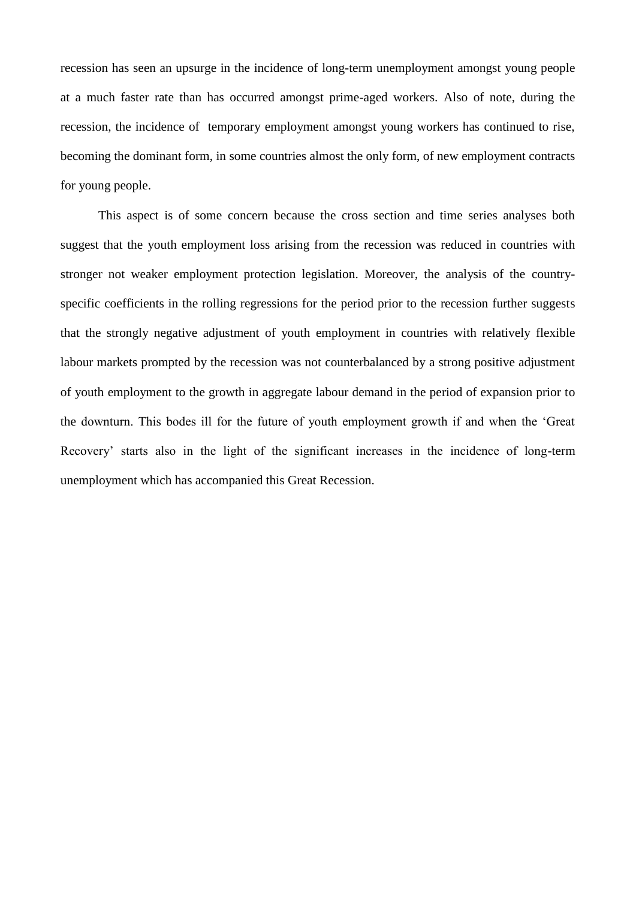recession has seen an upsurge in the incidence of long-term unemployment amongst young people at a much faster rate than has occurred amongst prime-aged workers. Also of note, during the recession, the incidence of temporary employment amongst young workers has continued to rise, becoming the dominant form, in some countries almost the only form, of new employment contracts for young people.

This aspect is of some concern because the cross section and time series analyses both suggest that the youth employment loss arising from the recession was reduced in countries with stronger not weaker employment protection legislation. Moreover, the analysis of the countryspecific coefficients in the rolling regressions for the period prior to the recession further suggests that the strongly negative adjustment of youth employment in countries with relatively flexible labour markets prompted by the recession was not counterbalanced by a strong positive adjustment of youth employment to the growth in aggregate labour demand in the period of expansion prior to the downturn. This bodes ill for the future of youth employment growth if and when the 'Great Recovery' starts also in the light of the significant increases in the incidence of long-term unemployment which has accompanied this Great Recession.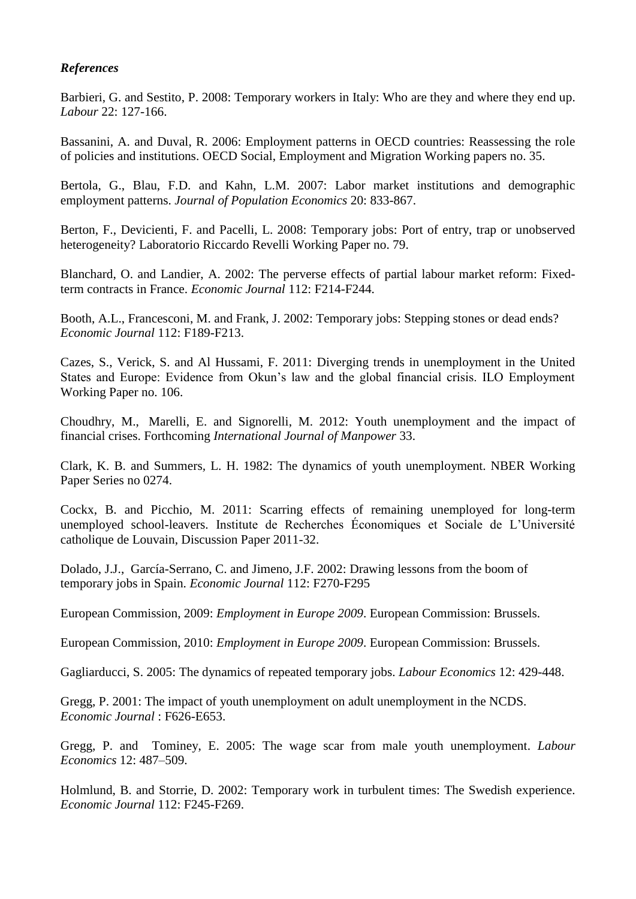### *References*

Barbieri, G. and Sestito, P. 2008: Temporary workers in Italy: Who are they and where they end up. *Labour* 22: 127-166.

Bassanini, A. and Duval, R. 2006: Employment patterns in OECD countries: Reassessing the role of policies and institutions. OECD Social, Employment and Migration Working papers no. 35.

Bertola, G., Blau, F.D. and Kahn, L.M. 2007: Labor market institutions and demographic employment patterns. *Journal of Population Economics* 20: 833-867.

Berton, F., Devicienti, F. and Pacelli, L. 2008: Temporary jobs: Port of entry, trap or unobserved heterogeneity? Laboratorio Riccardo Revelli Working Paper no. 79.

Blanchard, O. and Landier, A. 2002: The perverse effects of partial labour market reform: Fixedterm contracts in France. *Economic Journal* 112: F214-F244.

Booth, A.L., Francesconi, M. and Frank, J. 2002: Temporary jobs: Stepping stones or dead ends? *Economic Journal* 112: F189-F213.

Cazes, S., Verick, S. and Al Hussami, F. 2011: Diverging trends in unemployment in the United States and Europe: Evidence from Okun's law and the global financial crisis. ILO Employment Working Paper no. 106.

Choudhry, M., Marelli, E. and Signorelli, M. 2012: Youth unemployment and the impact of financial crises. Forthcoming *International Journal of Manpower* 33.

Clark*,* K. B. and Summers*,* L. H. 1982: The dynamics of youth unemployment. NBER Working Paper Series no 0274.

Cockx, B. and Picchio, M. 2011: Scarring effects of remaining unemployed for long-term unemployed school-leavers. Institute de Recherches Économiques et Sociale de L'Université catholique de Louvain, Discussion Paper 2011-32.

Dolado, J.J., García-Serrano, C. and Jimeno, J.F. 2002: Drawing lessons from the boom of temporary jobs in Spain. *Economic Journal* 112: F270-F295

European Commission, 2009: *Employment in Europe 2009*. European Commission: Brussels.

European Commission, 2010: *Employment in Europe 2009*. European Commission: Brussels.

Gagliarducci, S. 2005: The dynamics of repeated temporary jobs. *Labour Economics* 12: 429-448.

Gregg, P. 2001: The impact of youth unemployment on adult unemployment in the NCDS. *Economic Journal* : F626-E653.

Gregg, P. and Tominey, E. 2005: The wage scar from male youth unemployment. *Labour Economics* 12: 487–509.

Holmlund, B. and Storrie, D. 2002: Temporary work in turbulent times: The Swedish experience. *Economic Journal* 112: F245-F269.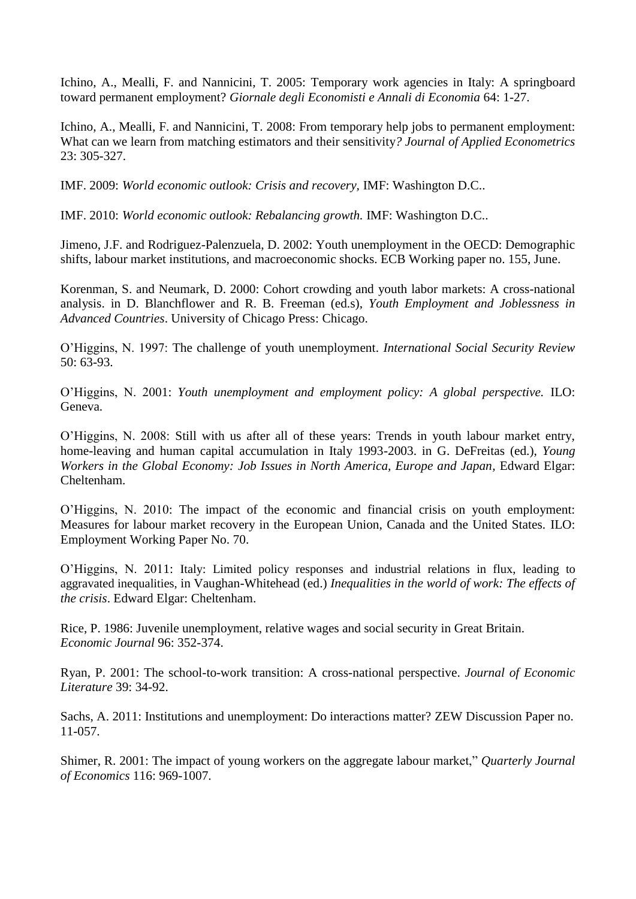Ichino, A., Mealli, F. and Nannicini, T. 2005: Temporary work agencies in Italy: A springboard toward permanent employment? *Giornale degli Economisti e Annali di Economia* 64: 1-27.

Ichino, A., Mealli, F. and Nannicini, T. 2008: From temporary help jobs to permanent employment: What can we learn from matching estimators and their sensitivity*? Journal of Applied Econometrics* 23: 305-327.

IMF. 2009: *World economic outlook: Crisis and recovery,* IMF: Washington D.C..

IMF. 2010: *World economic outlook: Rebalancing growth.* IMF: Washington D.C..

Jimeno, J.F. and Rodriguez-Palenzuela, D. 2002: Youth unemployment in the OECD: Demographic shifts, labour market institutions, and macroeconomic shocks. ECB Working paper no. 155, June.

Korenman, S. and Neumark, D. 2000: Cohort crowding and youth labor markets: A cross-national analysis. in D. Blanchflower and R. B. Freeman (ed.s), *Youth Employment and Joblessness in Advanced Countries*. University of Chicago Press: Chicago.

O'Higgins, N. 1997: The challenge of youth unemployment. *International Social Security Review*  50: 63-93.

O'Higgins, N. 2001: *Youth unemployment and employment policy: A global perspective.* ILO: Geneva.

O'Higgins, N. 2008: Still with us after all of these years: Trends in youth labour market entry, home-leaving and human capital accumulation in Italy 1993-2003. in G. DeFreitas (ed.), *Young Workers in the Global Economy: Job Issues in North America, Europe and Japan,* Edward Elgar: Cheltenham.

O'Higgins, N. 2010: The impact of the economic and financial crisis on youth employment: Measures for labour market recovery in the European Union, Canada and the United States*.* ILO: Employment Working Paper No. 70.

O'Higgins, N. 2011: Italy: Limited policy responses and industrial relations in flux, leading to aggravated inequalities, in Vaughan-Whitehead (ed.) *Inequalities in the world of work: The effects of the crisis*. Edward Elgar: Cheltenham.

Rice, P. 1986: Juvenile unemployment, relative wages and social security in Great Britain. *Economic Journal* 96: 352-374.

Ryan, P. 2001: The school-to-work transition: A cross-national perspective. *Journal of Economic Literature* 39: 34-92.

Sachs, A. 2011: Institutions and unemployment: Do interactions matter? ZEW Discussion Paper no. 11-057.

Shimer, R. 2001: The impact of young workers on the aggregate labour market," *Quarterly Journal of Economics* 116: 969-1007.